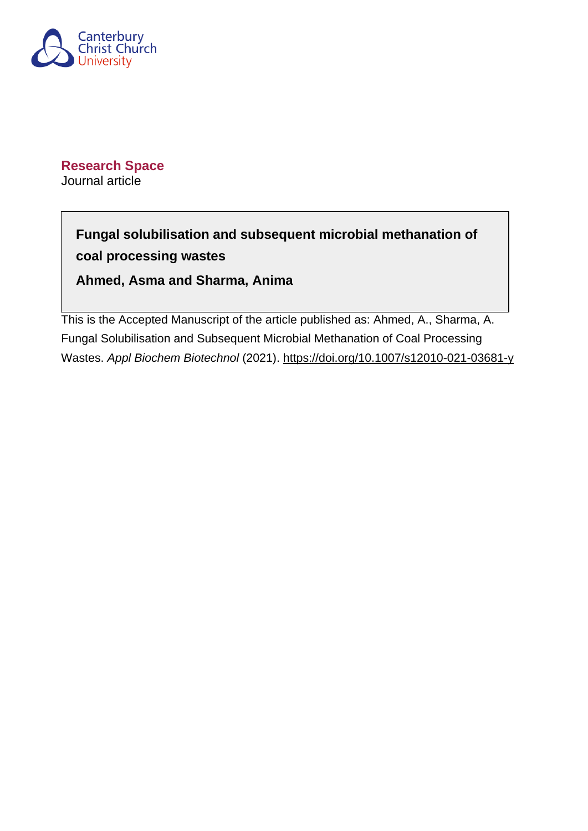

**Research Space** Journal article

> **Fungal solubilisation and subsequent microbial methanation of coal processing wastes**

**Ahmed, Asma and Sharma, Anima**

This is the Accepted Manuscript of the article published as: Ahmed, A., Sharma, A. Fungal Solubilisation and Subsequent Microbial Methanation of Coal Processing Wastes. Appl Biochem Biotechnol (2021). <https://doi.org/10.1007/s12010-021-03681-y>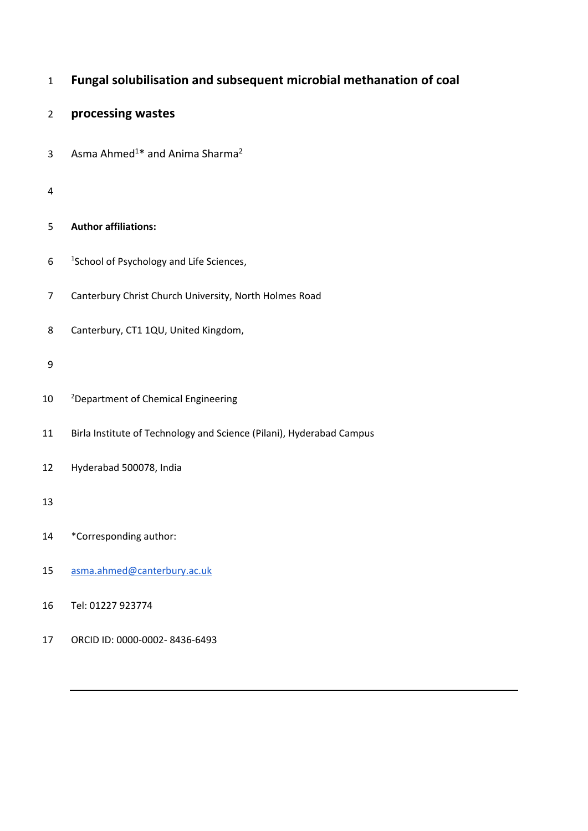| $\mathbf{1}$   | Fungal solubilisation and subsequent microbial methanation of coal   |
|----------------|----------------------------------------------------------------------|
| $\overline{2}$ | processing wastes                                                    |
| 3              | Asma Ahmed <sup>1*</sup> and Anima Sharma <sup>2</sup>               |
| 4              |                                                                      |
| 5              | <b>Author affiliations:</b>                                          |
| 6              | <sup>1</sup> School of Psychology and Life Sciences,                 |
| $\overline{7}$ | Canterbury Christ Church University, North Holmes Road               |
| 8              | Canterbury, CT1 1QU, United Kingdom,                                 |
| 9              |                                                                      |
| 10             | <sup>2</sup> Department of Chemical Engineering                      |
| 11             | Birla Institute of Technology and Science (Pilani), Hyderabad Campus |
| 12             | Hyderabad 500078, India                                              |
| 13             |                                                                      |
| 14             | *Corresponding author:                                               |
| 15             | asma.ahmed@canterbury.ac.uk                                          |
| 16             | Tel: 01227 923774                                                    |
| 17             | ORCID ID: 0000-0002-8436-6493                                        |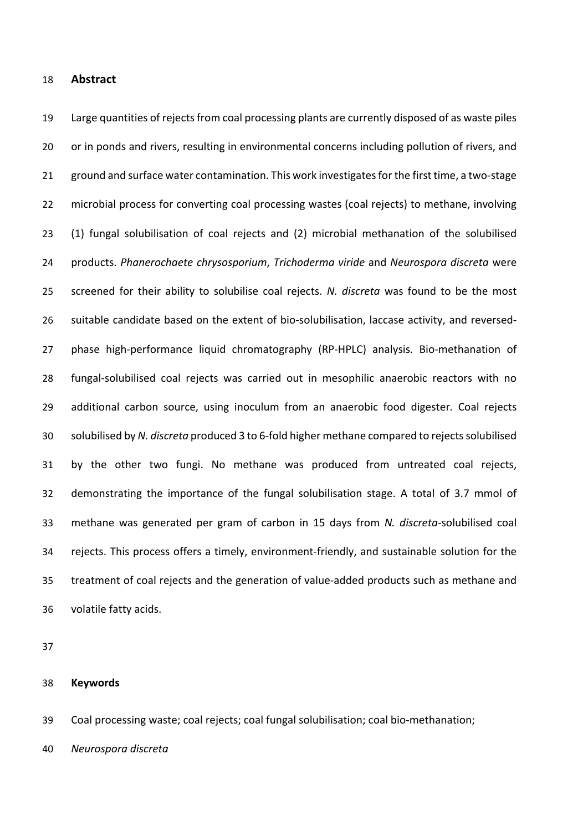**Abstract** 

 Large quantities of rejects from coal processing plants are currently disposed of as waste piles or in ponds and rivers, resulting in environmental concerns including pollution of rivers, and ground and surface water contamination. This work investigates for the first time, a two-stage microbial process for converting coal processing wastes (coal rejects) to methane, involving (1) fungal solubilisation of coal rejects and (2) microbial methanation of the solubilised products. *Phanerochaete chrysosporium*, *Trichoderma viride* and *Neurospora discreta* were screened for their ability to solubilise coal rejects. *N. discreta* was found to be the most suitable candidate based on the extent of bio-solubilisation, laccase activity, and reversed- phase high-performance liquid chromatography (RP-HPLC) analysis. Bio-methanation of fungal-solubilised coal rejects was carried out in mesophilic anaerobic reactors with no additional carbon source, using inoculum from an anaerobic food digester*.* Coal rejects solubilised by *N. discreta* produced 3 to 6-fold higher methane compared to rejects solubilised by the other two fungi. No methane was produced from untreated coal rejects, demonstrating the importance of the fungal solubilisation stage. A total of 3.7 mmol of methane was generated per gram of carbon in 15 days from *N. discreta*-solubilised coal rejects. This process offers a timely, environment-friendly, and sustainable solution for the treatment of coal rejects and the generation of value-added products such as methane and volatile fatty acids.

### **Keywords**

Coal processing waste; coal rejects; coal fungal solubilisation; coal bio-methanation;

*Neurospora discreta*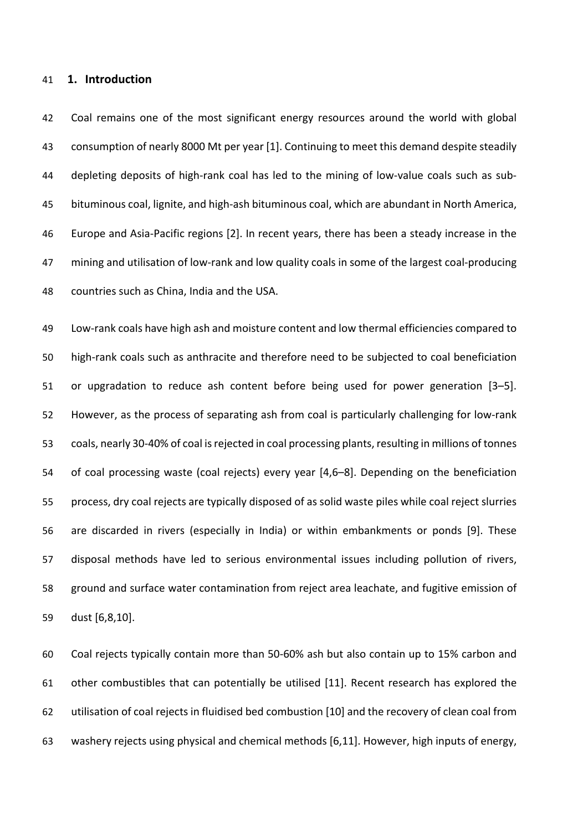#### **1. Introduction**

 Coal remains one of the most significant energy resources around the world with global consumption of nearly 8000 Mt per year [1]. Continuing to meet this demand despite steadily depleting deposits of high-rank coal has led to the mining of low-value coals such as sub- bituminous coal, lignite, and high-ash bituminous coal, which are abundant in North America, Europe and Asia-Pacific regions [2]. In recent years, there has been a steady increase in the mining and utilisation of low-rank and low quality coals in some of the largest coal-producing countries such as China, India and the USA.

 Low-rank coals have high ash and moisture content and low thermal efficiencies compared to high-rank coals such as anthracite and therefore need to be subjected to coal beneficiation or upgradation to reduce ash content before being used for power generation [3–5]. However, as the process of separating ash from coal is particularly challenging for low-rank coals, nearly 30-40% of coal is rejected in coal processing plants, resulting in millions of tonnes of coal processing waste (coal rejects) every year [4,6–8]. Depending on the beneficiation process, dry coal rejects are typically disposed of as solid waste piles while coal reject slurries are discarded in rivers (especially in India) or within embankments or ponds [9]. These disposal methods have led to serious environmental issues including pollution of rivers, ground and surface water contamination from reject area leachate, and fugitive emission of dust [6,8,10].

 Coal rejects typically contain more than 50-60% ash but also contain up to 15% carbon and other combustibles that can potentially be utilised [11]. Recent research has explored the utilisation of coal rejects in fluidised bed combustion [10] and the recovery of clean coal from washery rejects using physical and chemical methods [6,11]. However, high inputs of energy,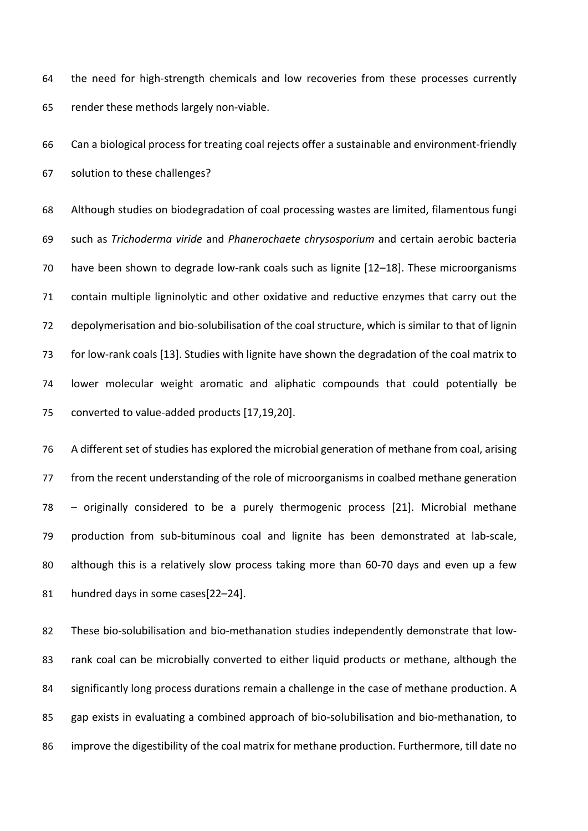the need for high-strength chemicals and low recoveries from these processes currently render these methods largely non-viable.

 Can a biological process for treating coal rejects offer a sustainable and environment-friendly solution to these challenges?

 Although studies on biodegradation of coal processing wastes are limited, filamentous fungi such as *Trichoderma viride* and *Phanerochaete chrysosporium* and certain aerobic bacteria have been shown to degrade low-rank coals such as lignite [12–18]. These microorganisms contain multiple ligninolytic and other oxidative and reductive enzymes that carry out the depolymerisation and bio-solubilisation of the coal structure, which is similar to that of lignin for low-rank coals [13]. Studies with lignite have shown the degradation of the coal matrix to lower molecular weight aromatic and aliphatic compounds that could potentially be converted to value-added products [17,19,20].

 A different set of studies has explored the microbial generation of methane from coal, arising from the recent understanding of the role of microorganisms in coalbed methane generation – originally considered to be a purely thermogenic process [21]. Microbial methane production from sub-bituminous coal and lignite has been demonstrated at lab-scale, although this is a relatively slow process taking more than 60-70 days and even up a few hundred days in some cases[22–24].

 These bio-solubilisation and bio-methanation studies independently demonstrate that low- rank coal can be microbially converted to either liquid products or methane, although the significantly long process durations remain a challenge in the case of methane production. A gap exists in evaluating a combined approach of bio-solubilisation and bio-methanation, to improve the digestibility of the coal matrix for methane production. Furthermore, till date no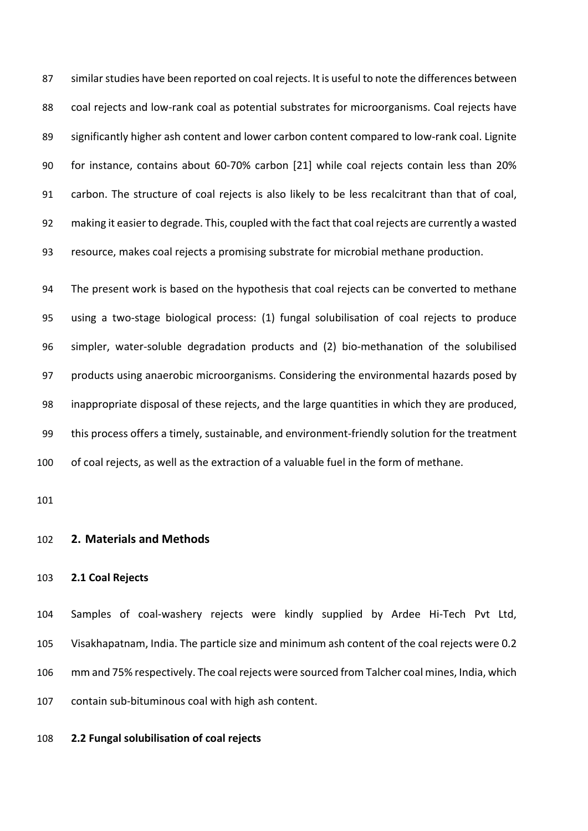similar studies have been reported on coal rejects. It is useful to note the differences between coal rejects and low-rank coal as potential substrates for microorganisms. Coal rejects have significantly higher ash content and lower carbon content compared to low-rank coal. Lignite for instance, contains about 60-70% carbon [21] while coal rejects contain less than 20% carbon. The structure of coal rejects is also likely to be less recalcitrant than that of coal, making it easier to degrade. This, coupled with the fact that coal rejects are currently a wasted resource, makes coal rejects a promising substrate for microbial methane production.

 The present work is based on the hypothesis that coal rejects can be converted to methane using a two-stage biological process: (1) fungal solubilisation of coal rejects to produce simpler, water-soluble degradation products and (2) bio-methanation of the solubilised products using anaerobic microorganisms. Considering the environmental hazards posed by inappropriate disposal of these rejects, and the large quantities in which they are produced, this process offers a timely, sustainable, and environment-friendly solution for the treatment of coal rejects, as well as the extraction of a valuable fuel in the form of methane.

# **2. Materials and Methods**

## **2.1 Coal Rejects**

 Samples of coal-washery rejects were kindly supplied by Ardee Hi-Tech Pvt Ltd, Visakhapatnam, India. The particle size and minimum ash content of the coal rejects were 0.2 mm and 75% respectively. The coal rejects were sourced from Talcher coal mines, India, which contain sub-bituminous coal with high ash content.

# **2.2 Fungal solubilisation of coal rejects**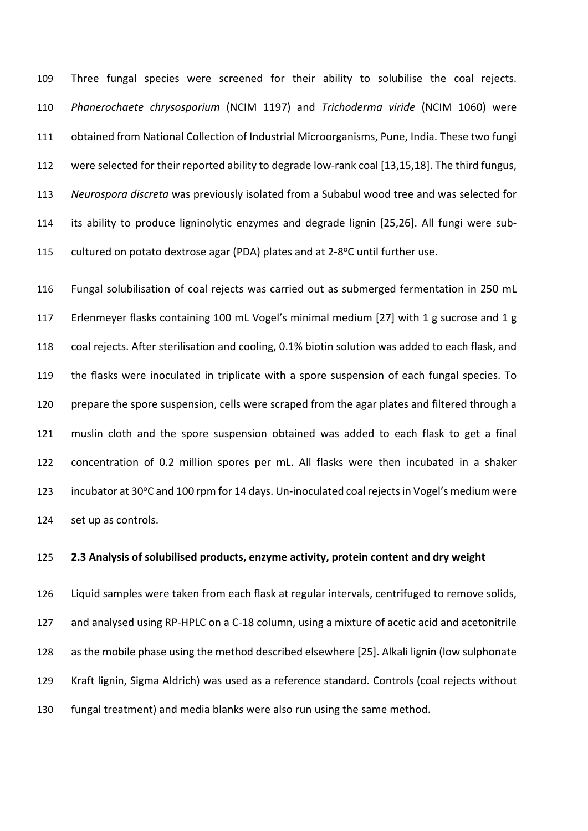Three fungal species were screened for their ability to solubilise the coal rejects. *Phanerochaete chrysosporium* (NCIM 1197) and *Trichoderma viride* (NCIM 1060) were obtained from National Collection of Industrial Microorganisms, Pune, India. These two fungi were selected for their reported ability to degrade low-rank coal [13,15,18]. The third fungus, *Neurospora discreta* was previously isolated from a Subabul wood tree and was selected for its ability to produce ligninolytic enzymes and degrade lignin [25,26]. All fungi were sub-115 cultured on potato dextrose agar (PDA) plates and at  $2-8^{\circ}C$  until further use.

 Fungal solubilisation of coal rejects was carried out as submerged fermentation in 250 mL Erlenmeyer flasks containing 100 mL Vogel's minimal medium [27] with 1 g sucrose and 1 g coal rejects. After sterilisation and cooling, 0.1% biotin solution was added to each flask, and the flasks were inoculated in triplicate with a spore suspension of each fungal species. To prepare the spore suspension, cells were scraped from the agar plates and filtered through a muslin cloth and the spore suspension obtained was added to each flask to get a final concentration of 0.2 million spores per mL. All flasks were then incubated in a shaker 123 incubator at 30°C and 100 rpm for 14 days. Un-inoculated coal rejects in Vogel's medium were set up as controls.

## **2.3 Analysis of solubilised products, enzyme activity, protein content and dry weight**

 Liquid samples were taken from each flask at regular intervals, centrifuged to remove solids, and analysed using RP-HPLC on a C-18 column, using a mixture of acetic acid and acetonitrile as the mobile phase using the method described elsewhere [25]. Alkali lignin (low sulphonate Kraft lignin, Sigma Aldrich) was used as a reference standard. Controls (coal rejects without fungal treatment) and media blanks were also run using the same method.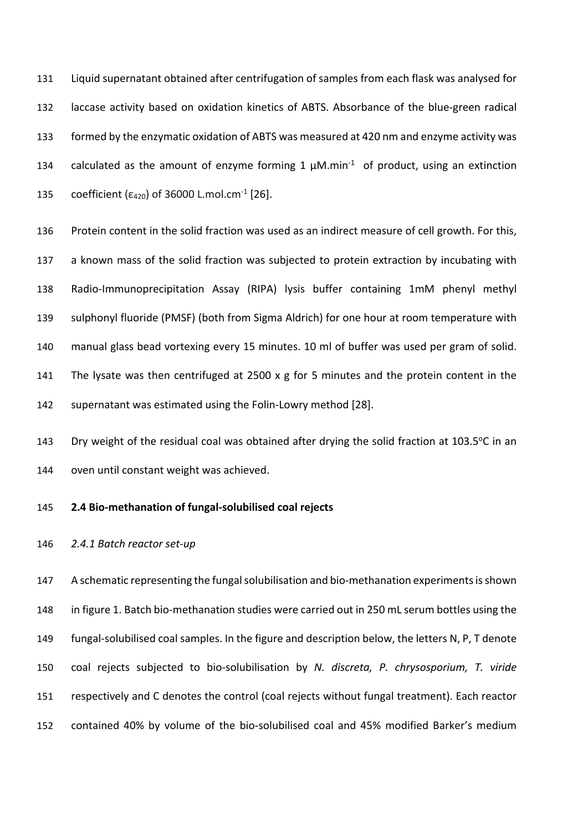Liquid supernatant obtained after centrifugation of samples from each flask was analysed for laccase activity based on oxidation kinetics of ABTS. Absorbance of the blue-green radical formed by the enzymatic oxidation of ABTS was measured at 420 nm and enzyme activity was 134 calculated as the amount of enzyme forming 1  $\mu$ M.min<sup>-1</sup> of product, using an extinction 135 coefficient ( $\epsilon_{420}$ ) of 36000 L.mol.cm<sup>-1</sup> [26].

 Protein content in the solid fraction was used as an indirect measure of cell growth. For this, a known mass of the solid fraction was subjected to protein extraction by incubating with Radio-Immunoprecipitation Assay (RIPA) lysis buffer containing 1mM phenyl methyl sulphonyl fluoride (PMSF) (both from Sigma Aldrich) for one hour at room temperature with manual glass bead vortexing every 15 minutes. 10 ml of buffer was used per gram of solid. The lysate was then centrifuged at 2500 x g for 5 minutes and the protein content in the supernatant was estimated using the Folin-Lowry method [28].

143 Dry weight of the residual coal was obtained after drying the solid fraction at 103.5 $\degree$ C in an oven until constant weight was achieved.

### **2.4 Bio-methanation of fungal-solubilised coal rejects**

#### *2.4.1 Batch reactor set-up*

147 A schematic representing the fungal solubilisation and bio-methanation experiments is shown in figure 1. Batch bio-methanation studies were carried out in 250 mL serum bottles using the fungal-solubilised coal samples. In the figure and description below, the letters N, P, T denote coal rejects subjected to bio-solubilisation by *N. discreta, P. chrysosporium, T. viride* respectively and C denotes the control (coal rejects without fungal treatment). Each reactor contained 40% by volume of the bio-solubilised coal and 45% modified Barker's medium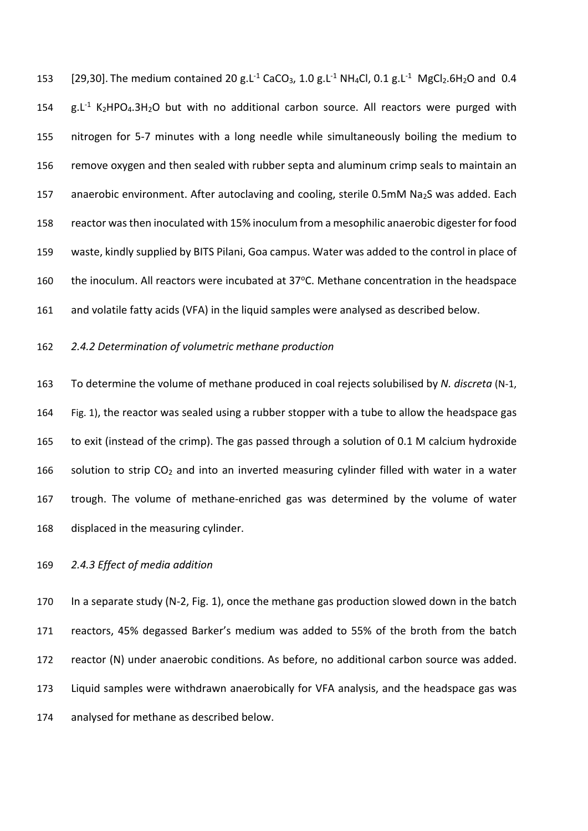153 [29,30]. The medium contained 20 g.L<sup>-1</sup> CaCO<sub>3</sub>, 1.0 g.L<sup>-1</sup> NH<sub>4</sub>Cl, 0.1 g.L<sup>-1</sup> MgCl<sub>2</sub>.6H<sub>2</sub>O and 0.4 154 g.L<sup>-1</sup> K<sub>2</sub>HPO<sub>4</sub>.3H<sub>2</sub>O but with no additional carbon source. All reactors were purged with nitrogen for 5-7 minutes with a long needle while simultaneously boiling the medium to remove oxygen and then sealed with rubber septa and aluminum crimp seals to maintain an 157 anaerobic environment. After autoclaving and cooling, sterile 0.5mM Na<sub>2</sub>S was added. Each reactor wasthen inoculated with 15% inoculum from a mesophilic anaerobic digester for food waste, kindly supplied by BITS Pilani, Goa campus. Water was added to the control in place of 160 the inoculum. All reactors were incubated at 37°C. Methane concentration in the headspace and volatile fatty acids (VFA) in the liquid samples were analysed as described below.

# *2.4.2 Determination of volumetric methane production*

 To determine the volume of methane produced in coal rejects solubilised by *N. discreta* (N-1, Fig. 1), the reactor was sealed using a rubber stopper with a tube to allow the headspace gas to exit (instead of the crimp). The gas passed through a solution of 0.1 M calcium hydroxide 166 solution to strip  $CO<sub>2</sub>$  and into an inverted measuring cylinder filled with water in a water trough. The volume of methane-enriched gas was determined by the volume of water displaced in the measuring cylinder.

#### *2.4.3 Effect of media addition*

 In a separate study (N-2, Fig. 1), once the methane gas production slowed down in the batch reactors, 45% degassed Barker's medium was added to 55% of the broth from the batch reactor (N) under anaerobic conditions. As before, no additional carbon source was added. Liquid samples were withdrawn anaerobically for VFA analysis, and the headspace gas was analysed for methane as described below.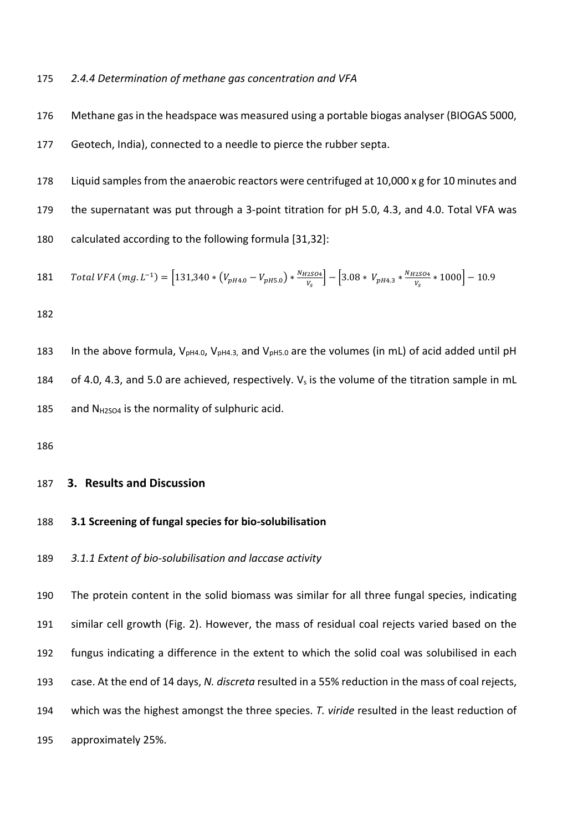#### *2.4.4 Determination of methane gas concentration and VFA*

Methane gas in the headspace was measured using a portable biogas analyser (BIOGAS 5000,

Geotech, India), connected to a needle to pierce the rubber septa.

178 Liquid samples from the anaerobic reactors were centrifuged at 10,000 x g for 10 minutes and the supernatant was put through a 3-point titration for pH 5.0, 4.3, and 4.0. Total VFA was calculated according to the following formula [31,32]:

181 *Total VFA* (*mg*. 
$$
L^{-1}
$$
) =  $\left[131,340 * (V_{pH4.0} - V_{pH5.0}) * \frac{N_{H2504}}{V_s}\right] - \left[3.08 * V_{pH4.3} * \frac{N_{H2504}}{V_s} * 1000\right] - 10.9$ 

183 In the above formula,  $V_{pH4.0}$ ,  $V_{pH4.3}$ , and  $V_{pH5.0}$  are the volumes (in mL) of acid added until pH 184 of 4.0, 4.3, and 5.0 are achieved, respectively.  $V_s$  is the volume of the titration sample in mL 185 and  $N_{H2SO4}$  is the normality of sulphuric acid.

# **3. Results and Discussion**

#### **3.1 Screening of fungal species for bio-solubilisation**

*3.1.1 Extent of bio-solubilisation and laccase activity*

 The protein content in the solid biomass was similar for all three fungal species, indicating similar cell growth (Fig. 2). However, the mass of residual coal rejects varied based on the fungus indicating a difference in the extent to which the solid coal was solubilised in each case. At the end of 14 days, *N. discreta* resulted in a 55% reduction in the mass of coal rejects, which was the highest amongst the three species. *T. viride* resulted in the least reduction of approximately 25%.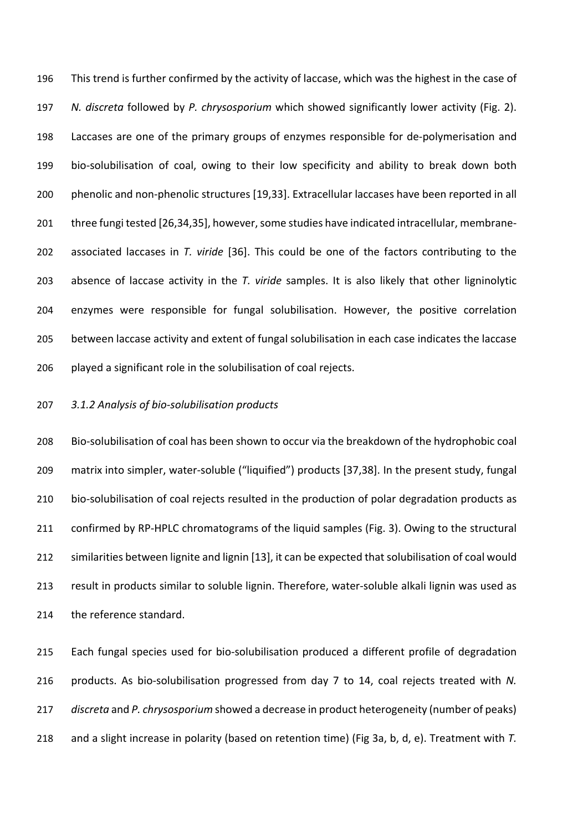This trend is further confirmed by the activity of laccase, which was the highest in the case of *N. discreta* followed by *P. chrysosporium* which showed significantly lower activity (Fig. 2). Laccases are one of the primary groups of enzymes responsible for de-polymerisation and bio-solubilisation of coal, owing to their low specificity and ability to break down both phenolic and non-phenolic structures [19,33]. Extracellular laccases have been reported in all 201 three fungi tested [26,34,35], however, some studies have indicated intracellular, membrane- associated laccases in *T. viride* [36]. This could be one of the factors contributing to the absence of laccase activity in the *T. viride* samples. It is also likely that other ligninolytic enzymes were responsible for fungal solubilisation. However, the positive correlation between laccase activity and extent of fungal solubilisation in each case indicates the laccase played a significant role in the solubilisation of coal rejects.

## *3.1.2 Analysis of bio-solubilisation products*

 Bio-solubilisation of coal has been shown to occur via the breakdown of the hydrophobic coal matrix into simpler, water-soluble ("liquified") products [37,38]. In the present study, fungal bio-solubilisation of coal rejects resulted in the production of polar degradation products as confirmed by RP-HPLC chromatograms of the liquid samples (Fig. 3). Owing to the structural similarities between lignite and lignin [13], it can be expected that solubilisation of coal would result in products similar to soluble lignin. Therefore, water-soluble alkali lignin was used as the reference standard.

 Each fungal species used for bio-solubilisation produced a different profile of degradation products. As bio-solubilisation progressed from day 7 to 14, coal rejects treated with *N. discreta* and *P. chrysosporium* showed a decrease in product heterogeneity (number of peaks) and a slight increase in polarity (based on retention time) (Fig 3a, b, d, e). Treatment with *T.*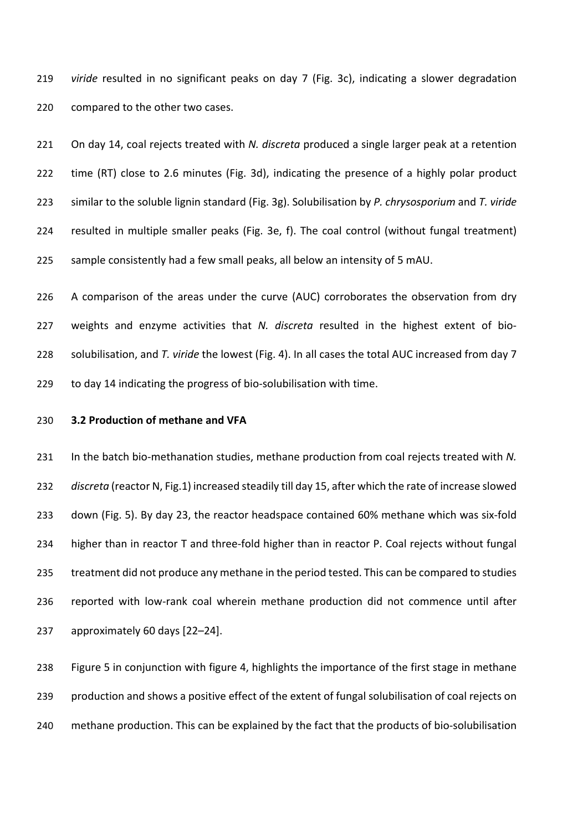*viride* resulted in no significant peaks on day 7 (Fig. 3c), indicating a slower degradation compared to the other two cases.

 On day 14, coal rejects treated with *N. discreta* produced a single larger peak at a retention time (RT) close to 2.6 minutes (Fig. 3d), indicating the presence of a highly polar product similar to the soluble lignin standard (Fig. 3g). Solubilisation by *P. chrysosporium* and *T. viride*  resulted in multiple smaller peaks (Fig. 3e, f). The coal control (without fungal treatment) sample consistently had a few small peaks, all below an intensity of 5 mAU.

 A comparison of the areas under the curve (AUC) corroborates the observation from dry weights and enzyme activities that *N. discreta* resulted in the highest extent of bio- solubilisation, and *T. viride* the lowest (Fig. 4). In all cases the total AUC increased from day 7 to day 14 indicating the progress of bio-solubilisation with time.

#### **3.2 Production of methane and VFA**

 In the batch bio-methanation studies, methane production from coal rejects treated with *N. discreta* (reactor N, Fig.1) increased steadily till day 15, after which the rate of increase slowed down (Fig. 5). By day 23, the reactor headspace contained 60% methane which was six-fold higher than in reactor T and three-fold higher than in reactor P. Coal rejects without fungal treatment did not produce any methane in the period tested. This can be compared to studies reported with low-rank coal wherein methane production did not commence until after approximately 60 days [22–24].

 Figure 5 in conjunction with figure 4, highlights the importance of the first stage in methane 239 production and shows a positive effect of the extent of fungal solubilisation of coal rejects on methane production. This can be explained by the fact that the products of bio-solubilisation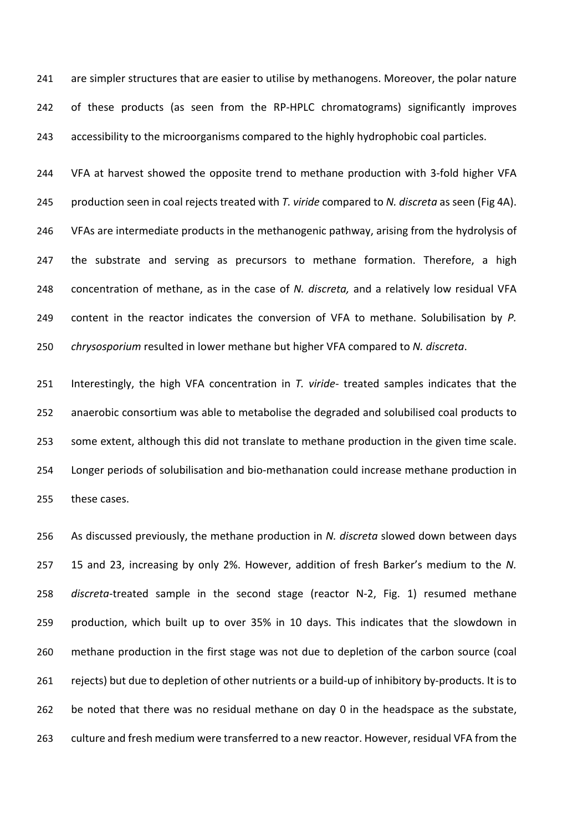are simpler structures that are easier to utilise by methanogens. Moreover, the polar nature of these products (as seen from the RP-HPLC chromatograms) significantly improves accessibility to the microorganisms compared to the highly hydrophobic coal particles.

 VFA at harvest showed the opposite trend to methane production with 3-fold higher VFA production seen in coal rejects treated with *T. viride* compared to *N. discreta* as seen (Fig 4A). VFAs are intermediate products in the methanogenic pathway, arising from the hydrolysis of the substrate and serving as precursors to methane formation. Therefore, a high concentration of methane, as in the case of *N. discreta,* and a relatively low residual VFA content in the reactor indicates the conversion of VFA to methane. Solubilisation by *P. chrysosporium* resulted in lower methane but higher VFA compared to *N. discreta*.

 Interestingly, the high VFA concentration in *T. viride-* treated samples indicates that the anaerobic consortium was able to metabolise the degraded and solubilised coal products to some extent, although this did not translate to methane production in the given time scale. Longer periods of solubilisation and bio-methanation could increase methane production in these cases.

 As discussed previously, the methane production in *N. discreta* slowed down between days 15 and 23, increasing by only 2%. However, addition of fresh Barker's medium to the *N. discreta*-treated sample in the second stage (reactor N-2, Fig. 1) resumed methane production, which built up to over 35% in 10 days. This indicates that the slowdown in methane production in the first stage was not due to depletion of the carbon source (coal rejects) but due to depletion of other nutrients or a build-up of inhibitory by-products. It is to be noted that there was no residual methane on day 0 in the headspace as the substate, culture and fresh medium were transferred to a new reactor. However, residual VFA from the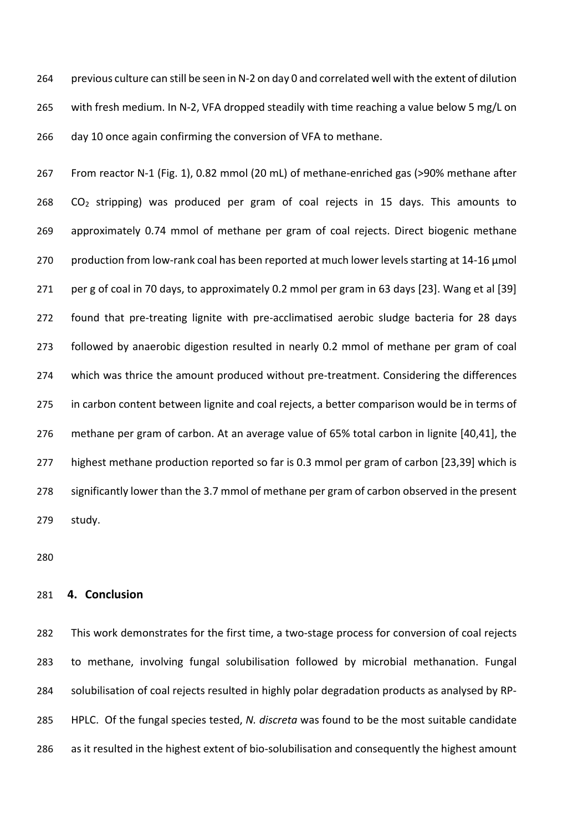previous culture can still be seen in N-2 on day 0 and correlated well with the extent of dilution with fresh medium. In N-2, VFA dropped steadily with time reaching a value below 5 mg/L on day 10 once again confirming the conversion of VFA to methane.

 From reactor N-1 (Fig. 1), 0.82 mmol (20 mL) of methane-enriched gas (>90% methane after CO<sub>2</sub> stripping) was produced per gram of coal rejects in 15 days. This amounts to approximately 0.74 mmol of methane per gram of coal rejects. Direct biogenic methane 270 production from low-rank coal has been reported at much lower levels starting at 14-16 µmol per g of coal in 70 days, to approximately 0.2 mmol per gram in 63 days [23]. Wang et al [39] found that pre-treating lignite with pre-acclimatised aerobic sludge bacteria for 28 days followed by anaerobic digestion resulted in nearly 0.2 mmol of methane per gram of coal which was thrice the amount produced without pre-treatment. Considering the differences in carbon content between lignite and coal rejects, a better comparison would be in terms of methane per gram of carbon. At an average value of 65% total carbon in lignite [40,41], the highest methane production reported so far is 0.3 mmol per gram of carbon [23,39] which is significantly lower than the 3.7 mmol of methane per gram of carbon observed in the present study.

### **4. Conclusion**

 This work demonstrates for the first time, a two-stage process for conversion of coal rejects to methane, involving fungal solubilisation followed by microbial methanation. Fungal solubilisation of coal rejects resulted in highly polar degradation products as analysed by RP- HPLC. Of the fungal species tested, *N. discreta* was found to be the most suitable candidate as it resulted in the highest extent of bio-solubilisation and consequently the highest amount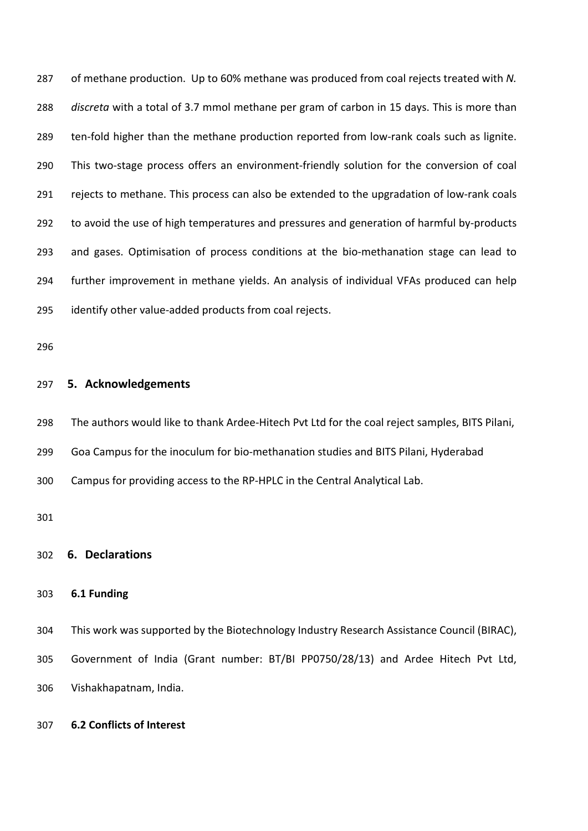of methane production. Up to 60% methane was produced from coal rejects treated with *N. discreta* with a total of 3.7 mmol methane per gram of carbon in 15 days. This is more than ten-fold higher than the methane production reported from low-rank coals such as lignite. This two-stage process offers an environment-friendly solution for the conversion of coal rejects to methane. This process can also be extended to the upgradation of low-rank coals to avoid the use of high temperatures and pressures and generation of harmful by-products and gases. Optimisation of process conditions at the bio-methanation stage can lead to further improvement in methane yields. An analysis of individual VFAs produced can help identify other value-added products from coal rejects.

# **5. Acknowledgements**

The authors would like to thank Ardee-Hitech Pvt Ltd for the coal reject samples, BITS Pilani,

Goa Campus for the inoculum for bio-methanation studies and BITS Pilani, Hyderabad

Campus for providing access to the RP-HPLC in the Central Analytical Lab.

# **6. Declarations**

# **6.1 Funding**

 This work was supported by the Biotechnology Industry Research Assistance Council (BIRAC), Government of India (Grant number: BT/BI PP0750/28/13) and Ardee Hitech Pvt Ltd, Vishakhapatnam, India.

# **6.2 Conflicts of Interest**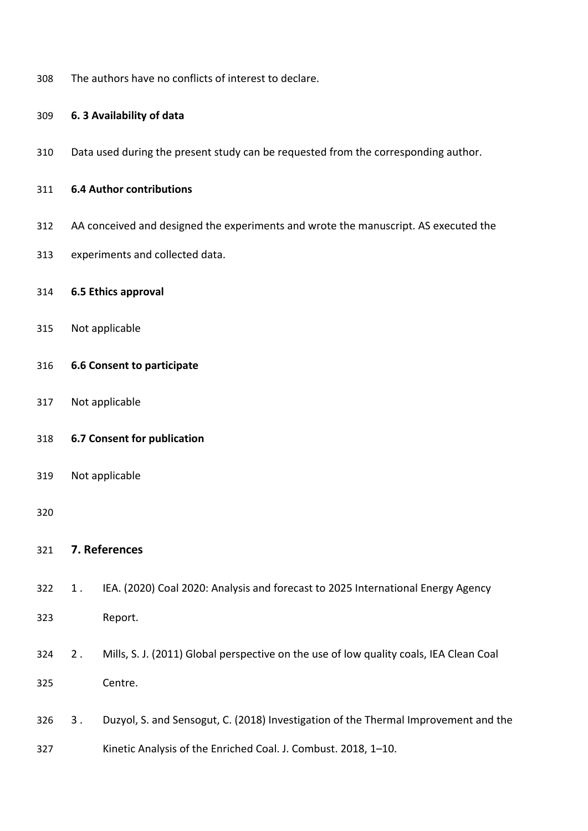The authors have no conflicts of interest to declare.

# **6. 3 Availability of data**

Data used during the present study can be requested from the corresponding author.

# **6.4 Author contributions**

- AA conceived and designed the experiments and wrote the manuscript. AS executed the
- experiments and collected data.

# **6.5 Ethics approval**

- Not applicable
- **6.6 Consent to participate**
- Not applicable

# **6.7 Consent for publication**

Not applicable

# 

# **7. References**

- 1 . IEA. (2020) Coal 2020: Analysis and forecast to 2025 International Energy Agency
- Report.
- 2 . Mills, S. J. (2011) Global perspective on the use of low quality coals, IEA Clean Coal Centre.
- 3 . Duzyol, S. and Sensogut, C. (2018) Investigation of the Thermal Improvement and the
- Kinetic Analysis of the Enriched Coal. J. Combust. 2018, 1–10.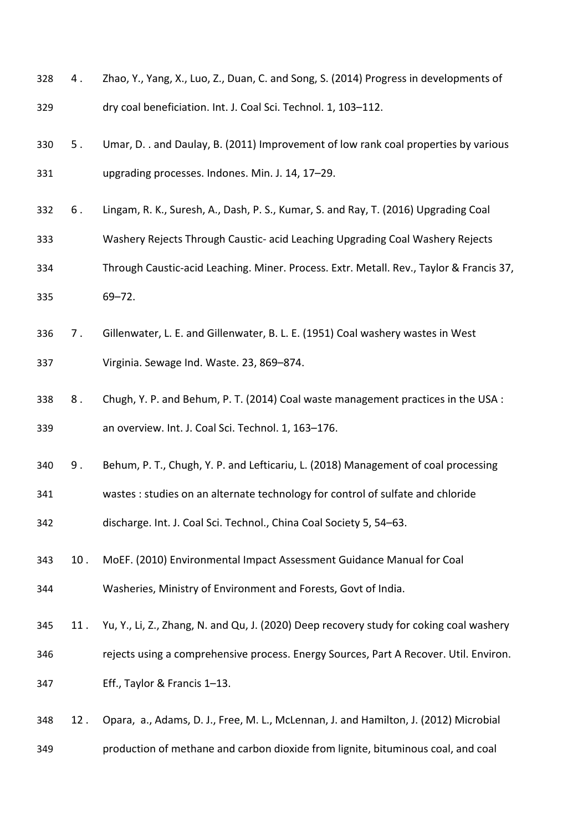| 328 | 4.  | Zhao, Y., Yang, X., Luo, Z., Duan, C. and Song, S. (2014) Progress in developments of   |
|-----|-----|-----------------------------------------------------------------------------------------|
| 329 |     | dry coal beneficiation. Int. J. Coal Sci. Technol. 1, 103-112.                          |
| 330 | 5.  | Umar, D. . and Daulay, B. (2011) Improvement of low rank coal properties by various     |
| 331 |     | upgrading processes. Indones. Min. J. 14, 17-29.                                        |
| 332 | 6.  | Lingam, R. K., Suresh, A., Dash, P. S., Kumar, S. and Ray, T. (2016) Upgrading Coal     |
| 333 |     | Washery Rejects Through Caustic- acid Leaching Upgrading Coal Washery Rejects           |
| 334 |     | Through Caustic-acid Leaching. Miner. Process. Extr. Metall. Rev., Taylor & Francis 37, |
| 335 |     | $69 - 72.$                                                                              |
| 336 | 7.  | Gillenwater, L. E. and Gillenwater, B. L. E. (1951) Coal washery wastes in West         |
| 337 |     | Virginia. Sewage Ind. Waste. 23, 869-874.                                               |
| 338 | 8.  | Chugh, Y. P. and Behum, P. T. (2014) Coal waste management practices in the USA :       |
| 339 |     | an overview. Int. J. Coal Sci. Technol. 1, 163-176.                                     |
| 340 | 9.  | Behum, P. T., Chugh, Y. P. and Lefticariu, L. (2018) Management of coal processing      |
| 341 |     | wastes: studies on an alternate technology for control of sulfate and chloride          |
| 342 |     | discharge. Int. J. Coal Sci. Technol., China Coal Society 5, 54-63.                     |
| 343 | 10. | MoEF. (2010) Environmental Impact Assessment Guidance Manual for Coal                   |
| 344 |     | Washeries, Ministry of Environment and Forests, Govt of India.                          |
| 345 | 11. | Yu, Y., Li, Z., Zhang, N. and Qu, J. (2020) Deep recovery study for coking coal washery |
| 346 |     | rejects using a comprehensive process. Energy Sources, Part A Recover. Util. Environ.   |
| 347 |     | Eff., Taylor & Francis 1-13.                                                            |
| 348 | 12. | Opara, a., Adams, D. J., Free, M. L., McLennan, J. and Hamilton, J. (2012) Microbial    |
| 349 |     | production of methane and carbon dioxide from lignite, bituminous coal, and coal        |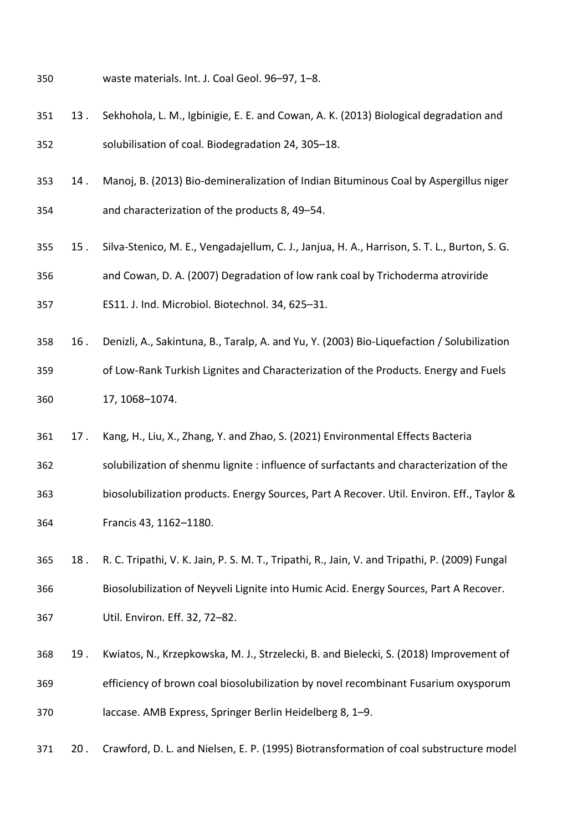- waste materials. Int. J. Coal Geol. 96–97, 1–8.
- 13 . Sekhohola, L. M., Igbinigie, E. E. and Cowan, A. K. (2013) Biological degradation and solubilisation of coal. Biodegradation 24, 305–18.
- 14 . Manoj, B. (2013) Bio-demineralization of Indian Bituminous Coal by Aspergillus niger and characterization of the products 8, 49–54.
- 15 . Silva-Stenico, M. E., Vengadajellum, C. J., Janjua, H. A., Harrison, S. T. L., Burton, S. G.
- and Cowan, D. A. (2007) Degradation of low rank coal by Trichoderma atroviride
- ES11. J. Ind. Microbiol. Biotechnol. 34, 625–31.
- 16 . Denizli, A., Sakintuna, B., Taralp, A. and Yu, Y. (2003) Bio-Liquefaction / Solubilization of Low-Rank Turkish Lignites and Characterization of the Products. Energy and Fuels 17, 1068–1074.
- 17 . Kang, H., Liu, X., Zhang, Y. and Zhao, S. (2021) Environmental Effects Bacteria
- solubilization of shenmu lignite : influence of surfactants and characterization of the biosolubilization products. Energy Sources, Part A Recover. Util. Environ. Eff., Taylor & Francis 43, 1162–1180.
- 18 . R. C. Tripathi, V. K. Jain, P. S. M. T., Tripathi, R., Jain, V. and Tripathi, P. (2009) Fungal Biosolubilization of Neyveli Lignite into Humic Acid. Energy Sources, Part A Recover. Util. Environ. Eff. 32, 72–82.
- 19 . Kwiatos, N., Krzepkowska, M. J., Strzelecki, B. and Bielecki, S. (2018) Improvement of efficiency of brown coal biosolubilization by novel recombinant Fusarium oxysporum laccase. AMB Express, Springer Berlin Heidelberg 8, 1–9.
- 20 . Crawford, D. L. and Nielsen, E. P. (1995) Biotransformation of coal substructure model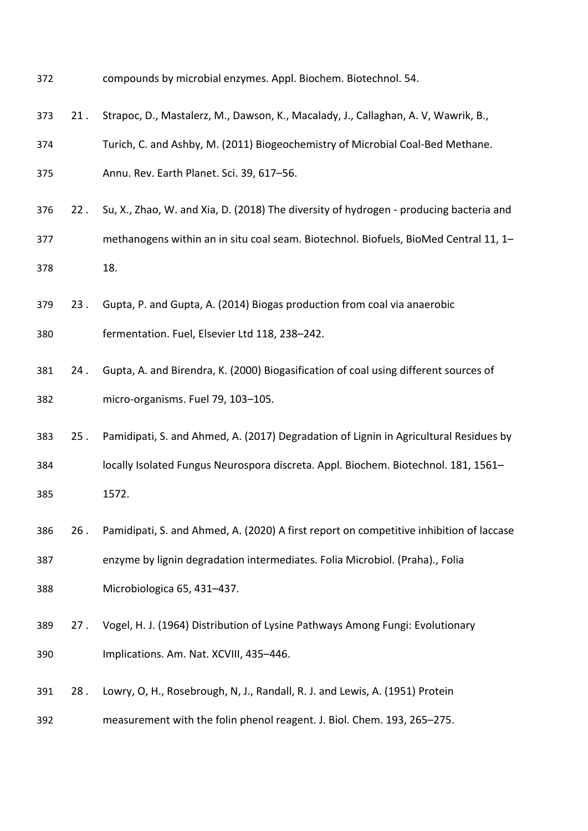- compounds by microbial enzymes. Appl. Biochem. Biotechnol. 54.
- 21 . Strapoc, D., Mastalerz, M., Dawson, K., Macalady, J., Callaghan, A. V, Wawrik, B.,
- Turich, C. and Ashby, M. (2011) Biogeochemistry of Microbial Coal-Bed Methane.
- Annu. Rev. Earth Planet. Sci. 39, 617–56.
- 22 . Su, X., Zhao, W. and Xia, D. (2018) The diversity of hydrogen ‑ producing bacteria and methanogens within an in situ coal seam. Biotechnol. Biofuels, BioMed Central 11, 1– 18.
- 23 . Gupta, P. and Gupta, A. (2014) Biogas production from coal via anaerobic
- fermentation. Fuel, Elsevier Ltd 118, 238–242.
- 24 . Gupta, A. and Birendra, K. (2000) Biogasification of coal using different sources of micro-organisms. Fuel 79, 103–105.
- 25 . Pamidipati, S. and Ahmed, A. (2017) Degradation of Lignin in Agricultural Residues by locally Isolated Fungus Neurospora discreta. Appl. Biochem. Biotechnol. 181, 1561– 1572.
- 26 . Pamidipati, S. and Ahmed, A. (2020) A first report on competitive inhibition of laccase

enzyme by lignin degradation intermediates. Folia Microbiol. (Praha)., Folia

- Microbiologica 65, 431–437.
- 27 . Vogel, H. J. (1964) Distribution of Lysine Pathways Among Fungi: Evolutionary Implications. Am. Nat. XCVIII, 435–446.
- 28 . Lowry, O, H., Rosebrough, N, J., Randall, R. J. and Lewis, A. (1951) Protein
- measurement with the folin phenol reagent. J. Biol. Chem. 193, 265–275.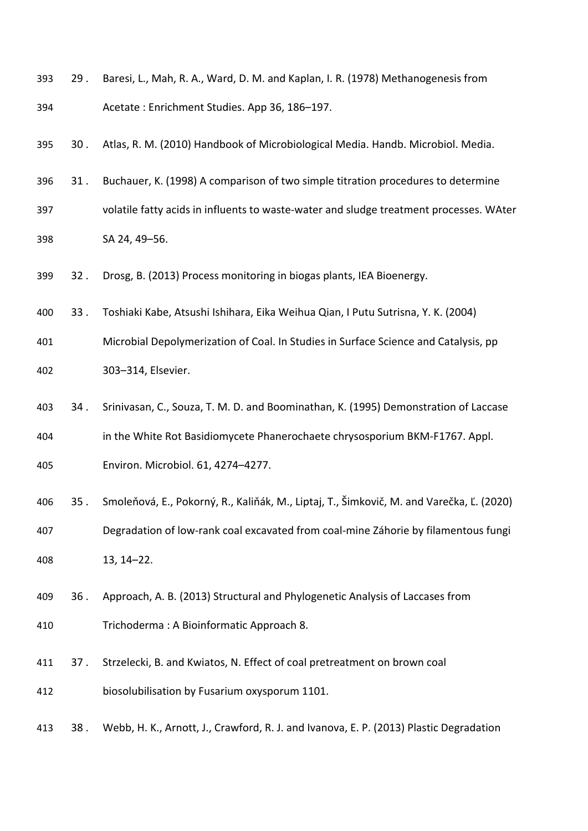| 393 | 29. | Baresi, L., Mah, R. A., Ward, D. M. and Kaplan, I. R. (1978) Methanogenesis from         |
|-----|-----|------------------------------------------------------------------------------------------|
| 394 |     | Acetate: Enrichment Studies. App 36, 186-197.                                            |
| 395 | 30. | Atlas, R. M. (2010) Handbook of Microbiological Media. Handb. Microbiol. Media.          |
| 396 | 31. | Buchauer, K. (1998) A comparison of two simple titration procedures to determine         |
| 397 |     | volatile fatty acids in influents to waste-water and sludge treatment processes. WAter   |
| 398 |     | SA 24, 49-56.                                                                            |
| 399 | 32. | Drosg, B. (2013) Process monitoring in biogas plants, IEA Bioenergy.                     |
| 400 | 33. | Toshiaki Kabe, Atsushi Ishihara, Eika Weihua Qian, I Putu Sutrisna, Y. K. (2004)         |
| 401 |     | Microbial Depolymerization of Coal. In Studies in Surface Science and Catalysis, pp      |
| 402 |     | 303-314, Elsevier.                                                                       |
| 403 | 34. | Srinivasan, C., Souza, T. M. D. and Boominathan, K. (1995) Demonstration of Laccase      |
| 404 |     | in the White Rot Basidiomycete Phanerochaete chrysosporium BKM-F1767. Appl.              |
| 405 |     | Environ. Microbiol. 61, 4274-4277.                                                       |
| 406 | 35. | Smoleňová, E., Pokorný, R., Kaliňák, M., Liptaj, T., Šimkovič, M. and Varečka, Ľ. (2020) |
| 407 |     | Degradation of low-rank coal excavated from coal-mine Záhorie by filamentous fungi       |
| 408 |     | $13, 14 - 22.$                                                                           |
| 409 | 36. | Approach, A. B. (2013) Structural and Phylogenetic Analysis of Laccases from             |
| 410 |     | Trichoderma: A Bioinformatic Approach 8.                                                 |
| 411 | 37. | Strzelecki, B. and Kwiatos, N. Effect of coal pretreatment on brown coal                 |
| 412 |     | biosolubilisation by Fusarium oxysporum 1101.                                            |
| 413 | 38. | Webb, H. K., Arnott, J., Crawford, R. J. and Ivanova, E. P. (2013) Plastic Degradation   |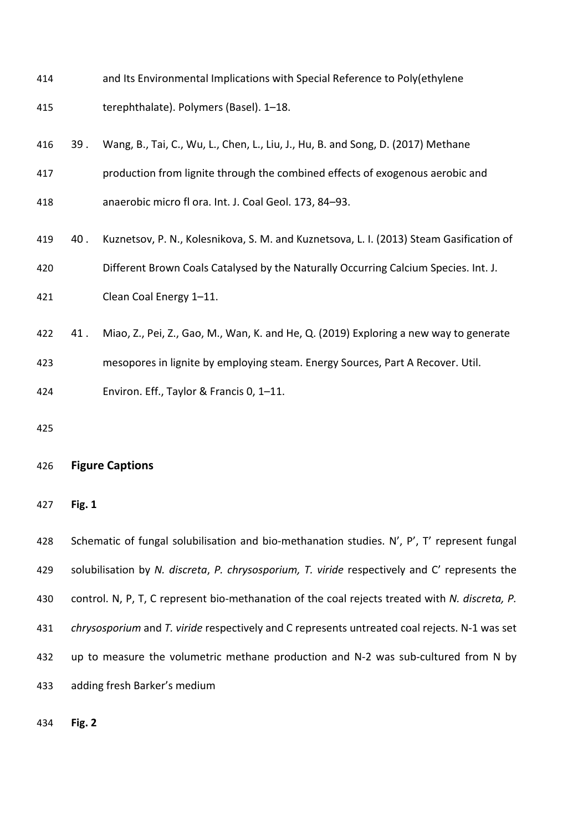| 414 |        | and Its Environmental Implications with Special Reference to Poly(ethylene                    |
|-----|--------|-----------------------------------------------------------------------------------------------|
| 415 |        | terephthalate). Polymers (Basel). 1-18.                                                       |
| 416 | 39.    | Wang, B., Tai, C., Wu, L., Chen, L., Liu, J., Hu, B. and Song, D. (2017) Methane              |
| 417 |        | production from lignite through the combined effects of exogenous aerobic and                 |
| 418 |        | anaerobic micro fl ora. Int. J. Coal Geol. 173, 84-93.                                        |
| 419 | 40.    | Kuznetsov, P. N., Kolesnikova, S. M. and Kuznetsova, L. I. (2013) Steam Gasification of       |
| 420 |        | Different Brown Coals Catalysed by the Naturally Occurring Calcium Species. Int. J.           |
| 421 |        | Clean Coal Energy 1-11.                                                                       |
| 422 | 41.    | Miao, Z., Pei, Z., Gao, M., Wan, K. and He, Q. (2019) Exploring a new way to generate         |
| 423 |        | mesopores in lignite by employing steam. Energy Sources, Part A Recover. Util.                |
| 424 |        | Environ. Eff., Taylor & Francis 0, 1-11.                                                      |
| 425 |        |                                                                                               |
| 426 |        | <b>Figure Captions</b>                                                                        |
| 427 | Fig. 1 |                                                                                               |
| 428 |        | Schematic of fungal solubilisation and bio-methanation studies. N', P', T' represent fungal   |
| 429 |        | solubilisation by N. discreta, P. chrysosporium, T. viride respectively and C' represents the |

control. N, P, T, C represent bio-methanation of the coal rejects treated with *N. discreta, P.* 

*chrysosporium* and *T. viride* respectively and C represents untreated coal rejects. N-1 was set

- 432 up to measure the volumetric methane production and N-2 was sub-cultured from N by
- adding fresh Barker's medium

**Fig. 2**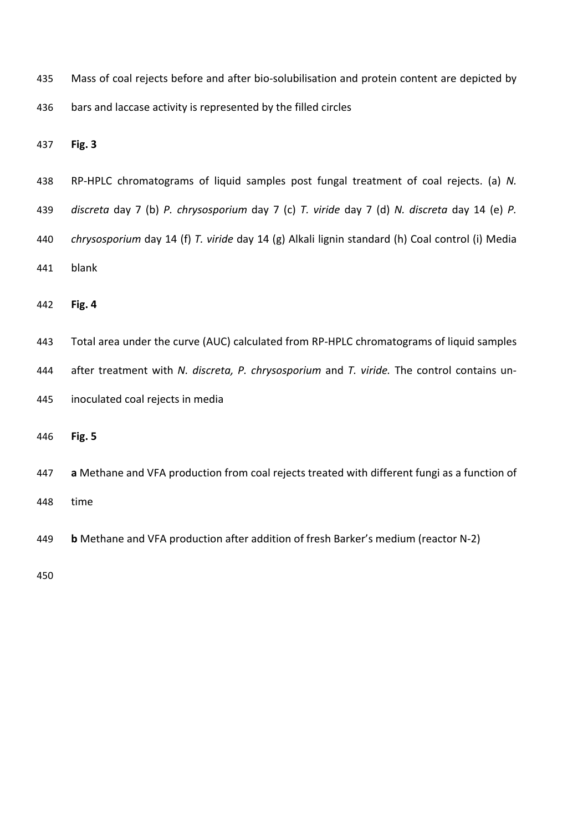Mass of coal rejects before and after bio-solubilisation and protein content are depicted by bars and laccase activity is represented by the filled circles

**Fig. 3** 

 RP-HPLC chromatograms of liquid samples post fungal treatment of coal rejects. (a) *N. discreta* day 7 (b) *P. chrysosporium* day 7 (c) *T. viride* day 7 (d) *N. discreta* day 14 (e) *P. chrysosporium* day 14 (f) *T. viride* day 14 (g) Alkali lignin standard (h) Coal control (i) Media blank

**Fig. 4** 

| 443 | Total area under the curve (AUC) calculated from RP-HPLC chromatograms of liquid samples     |
|-----|----------------------------------------------------------------------------------------------|
| 444 | after treatment with N. discreta, P. chrysosporium and T. viride. The control contains un-   |
| 445 | inoculated coal rejects in media                                                             |
| 446 | Fig. 5                                                                                       |
| 447 | a Methane and VFA production from coal rejects treated with different fungi as a function of |
| 448 | time                                                                                         |
|     |                                                                                              |

**b** Methane and VFA production after addition of fresh Barker's medium (reactor N-2)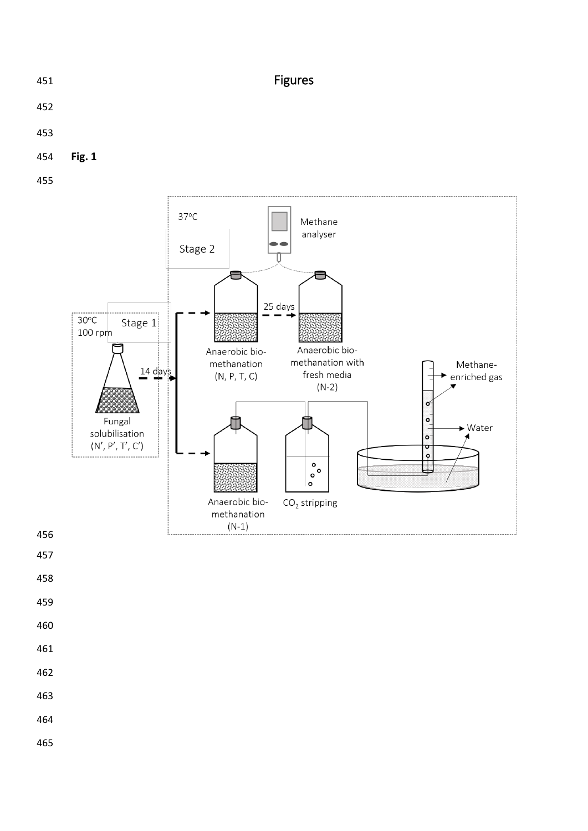

- 
- 
- 
- **Fig. 1**
- 



- 
- 
- 
- 
- 
- 
- 
- 
- 
- 
-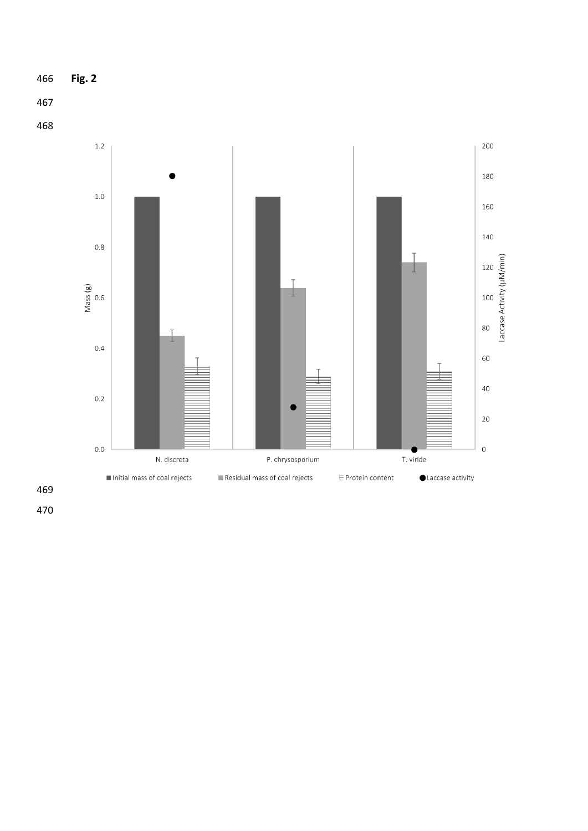**Fig. 2**

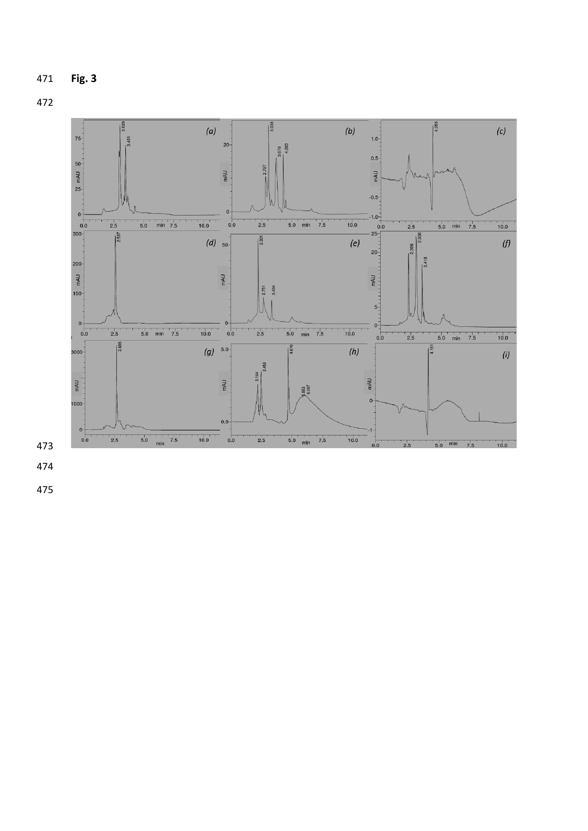



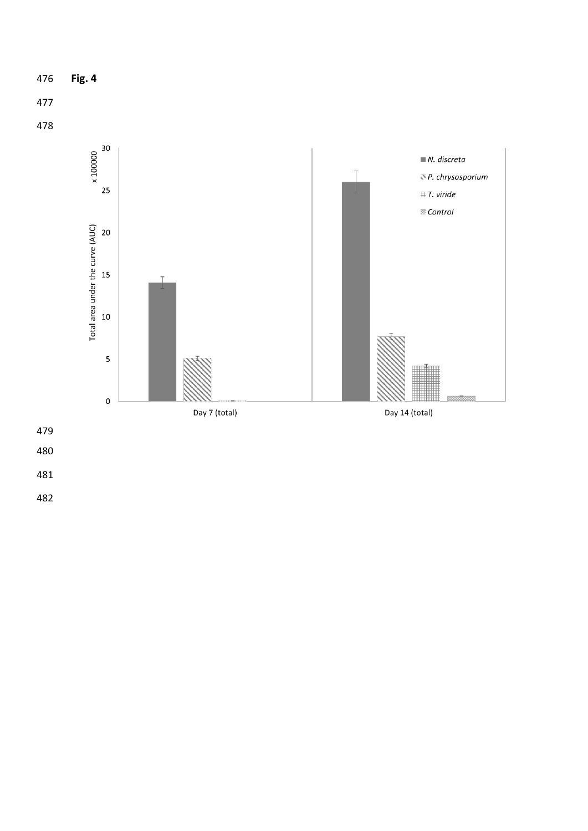